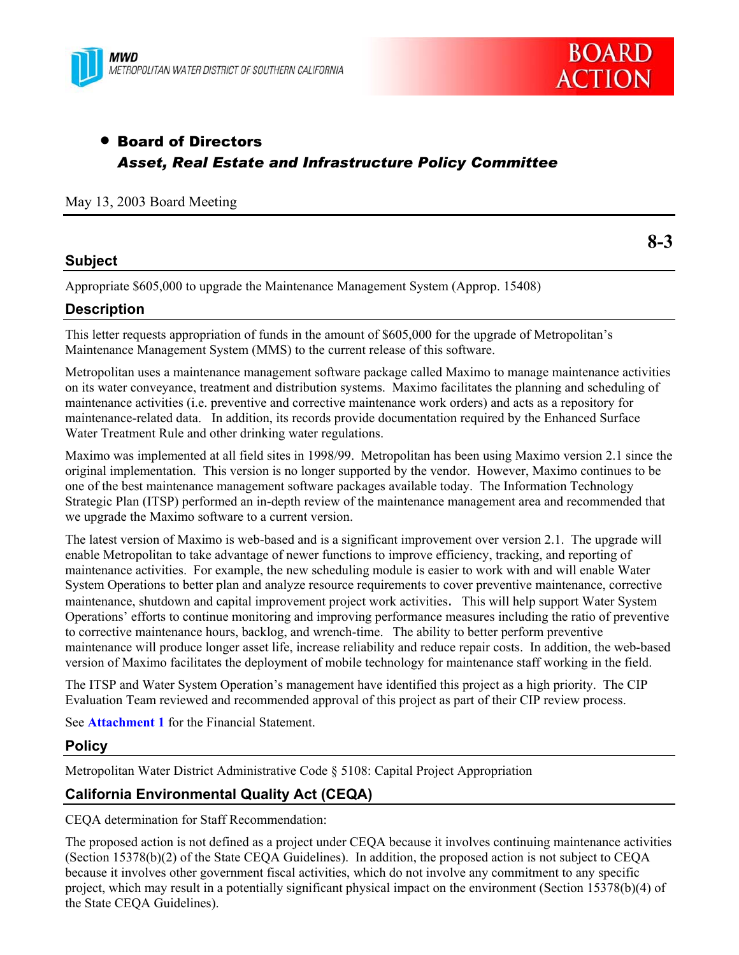



**8-3** 

# **• Board of Directors** *Asset, Real Estate and Infrastructure Policy Committee*

#### May 13, 2003 Board Meeting

## **Subject**

Appropriate \$605,000 to upgrade the Maintenance Management System (Approp. 15408)

# **Description**

This letter requests appropriation of funds in the amount of \$605,000 for the upgrade of Metropolitan's Maintenance Management System (MMS) to the current release of this software.

Metropolitan uses a maintenance management software package called Maximo to manage maintenance activities on its water conveyance, treatment and distribution systems. Maximo facilitates the planning and scheduling of maintenance activities (i.e. preventive and corrective maintenance work orders) and acts as a repository for maintenance-related data. In addition, its records provide documentation required by the Enhanced Surface Water Treatment Rule and other drinking water regulations.

Maximo was implemented at all field sites in 1998/99. Metropolitan has been using Maximo version 2.1 since the original implementation. This version is no longer supported by the vendor. However, Maximo continues to be one of the best maintenance management software packages available today. The Information Technology Strategic Plan (ITSP) performed an in-depth review of the maintenance management area and recommended that we upgrade the Maximo software to a current version.

The latest version of Maximo is web-based and is a significant improvement over version 2.1. The upgrade will enable Metropolitan to take advantage of newer functions to improve efficiency, tracking, and reporting of maintenance activities. For example, the new scheduling module is easier to work with and will enable Water System Operations to better plan and analyze resource requirements to cover preventive maintenance, corrective maintenance, shutdown and capital improvement project work activities. This will help support Water System Operations' efforts to continue monitoring and improving performance measures including the ratio of preventive to corrective maintenance hours, backlog, and wrench-time. The ability to better perform preventive maintenance will produce longer asset life, increase reliability and reduce repair costs. In addition, the web-based version of Maximo facilitates the deployment of mobile technology for maintenance staff working in the field.

The ITSP and Water System Operation's management have identified this project as a high priority. The CIP Evaluation Team reviewed and recommended approval of this project as part of their CIP review process.

See **Attachment 1** for the Financial Statement.

#### **Policy**

Metropolitan Water District Administrative Code § 5108: Capital Project Appropriation

# **California Environmental Quality Act (CEQA)**

CEQA determination for Staff Recommendation:

The proposed action is not defined as a project under CEQA because it involves continuing maintenance activities (Section 15378(b)(2) of the State CEQA Guidelines). In addition, the proposed action is not subject to CEQA because it involves other government fiscal activities, which do not involve any commitment to any specific project, which may result in a potentially significant physical impact on the environment (Section 15378(b)(4) of the State CEQA Guidelines).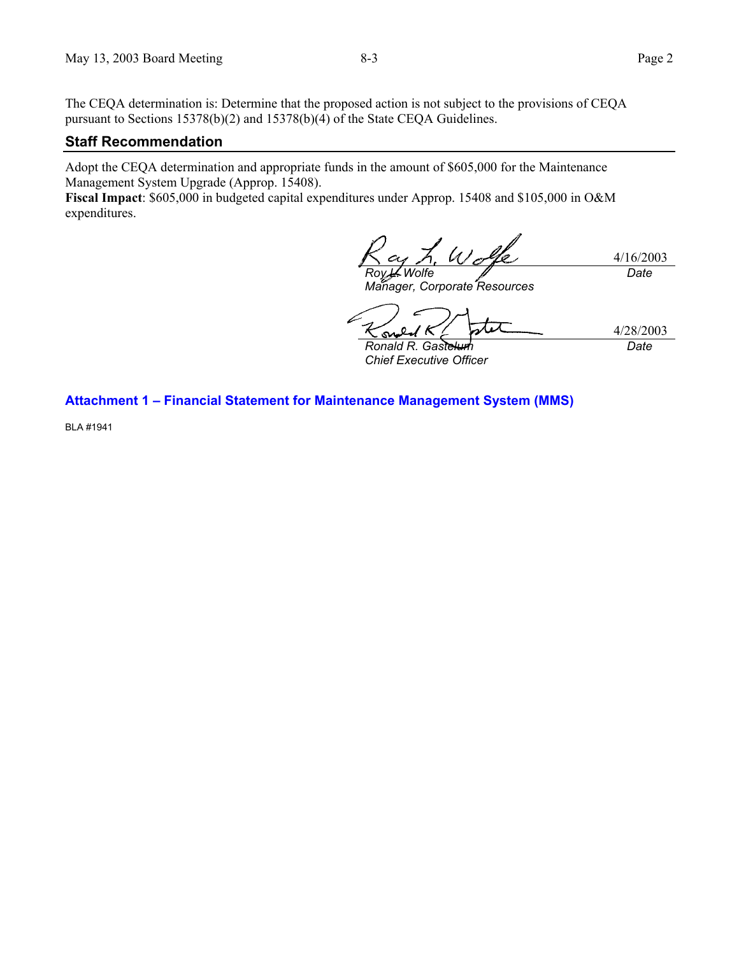The CEQA determination is: Determine that the proposed action is not subject to the provisions of CEQA pursuant to Sections 15378(b)(2) and 15378(b)(4) of the State CEQA Guidelines.

#### **Staff Recommendation**

Adopt the CEQA determination and appropriate funds in the amount of \$605,000 for the Maintenance Management System Upgrade (Approp. 15408).

**Fiscal Impact**: \$605,000 in budgeted capital expenditures under Approp. 15408 and \$105,000 in O&M expenditures.

4/16/2003 **Wolfe** *Date*

*Manager, Corporate Resources* 

4/28/2003 **Ronald R. Gaste** *Date*

*Chief Executive Officer* 

**Attachment 1 – Financial Statement for Maintenance Management System (MMS)** 

BLA #1941